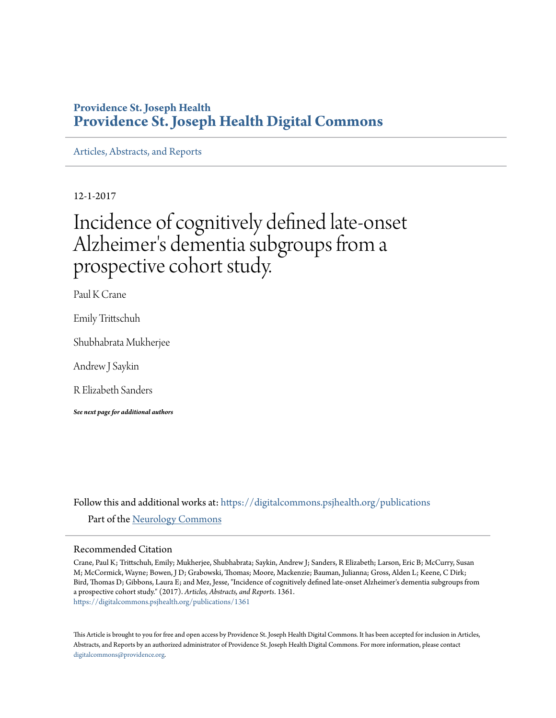#### **Providence St. Joseph Health [Providence St. Joseph Health Digital Commons](https://digitalcommons.psjhealth.org?utm_source=digitalcommons.psjhealth.org%2Fpublications%2F1361&utm_medium=PDF&utm_campaign=PDFCoverPages)**

[Articles, Abstracts, and Reports](https://digitalcommons.psjhealth.org/publications?utm_source=digitalcommons.psjhealth.org%2Fpublications%2F1361&utm_medium=PDF&utm_campaign=PDFCoverPages)

12-1-2017

# Incidence of cognitively defined late-onset Alzheimer 's dementia subgroups from a prospective cohort study.

Paul K Crane

Emily Trittschuh

Shubhabrata Mukherjee

Andrew J Saykin

R Elizabeth Sanders

*See next page for additional authors*

Follow this and additional works at: [https://digitalcommons.psjhealth.org/publications](https://digitalcommons.psjhealth.org/publications?utm_source=digitalcommons.psjhealth.org%2Fpublications%2F1361&utm_medium=PDF&utm_campaign=PDFCoverPages) Part of the [Neurology Commons](http://network.bepress.com/hgg/discipline/692?utm_source=digitalcommons.psjhealth.org%2Fpublications%2F1361&utm_medium=PDF&utm_campaign=PDFCoverPages)

#### Recommended Citation

Crane, Paul K; Trittschuh, Emily; Mukherjee, Shubhabrata; Saykin, Andrew J; Sanders, R Elizabeth; Larson, Eric B; McCurry, Susan M; McCormick, Wayne; Bowen, J D; Grabowski, Thomas; Moore, Mackenzie; Bauman, Julianna; Gross, Alden L; Keene, C Dirk; Bird, Thomas D; Gibbons, Laura E; and Mez, Jesse, "Incidence of cognitively defined late-onset Alzheimer's dementia subgroups from a prospective cohort study." (2017). *Articles, Abstracts, and Reports*. 1361. [https://digitalcommons.psjhealth.org/publications/1361](https://digitalcommons.psjhealth.org/publications/1361?utm_source=digitalcommons.psjhealth.org%2Fpublications%2F1361&utm_medium=PDF&utm_campaign=PDFCoverPages)

This Article is brought to you for free and open access by Providence St. Joseph Health Digital Commons. It has been accepted for inclusion in Articles, Abstracts, and Reports by an authorized administrator of Providence St. Joseph Health Digital Commons. For more information, please contact [digitalcommons@providence.org](mailto:digitalcommons@providence.org).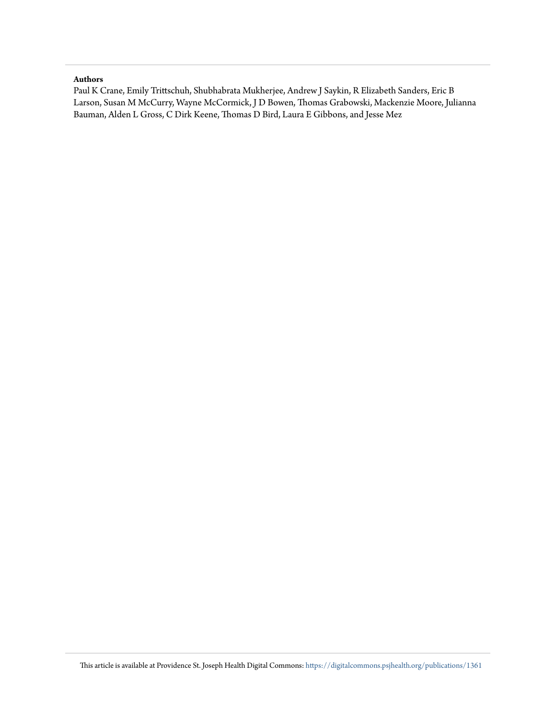#### **Authors**

Paul K Crane, Emily Trittschuh, Shubhabrata Mukherjee, Andrew J Saykin, R Elizabeth Sanders, Eric B Larson, Susan M McCurry, Wayne McCormick, J D Bowen, Thomas Grabowski, Mackenzie Moore, Julianna Bauman, Alden L Gross, C Dirk Keene, Thomas D Bird, Laura E Gibbons, and Jesse Mez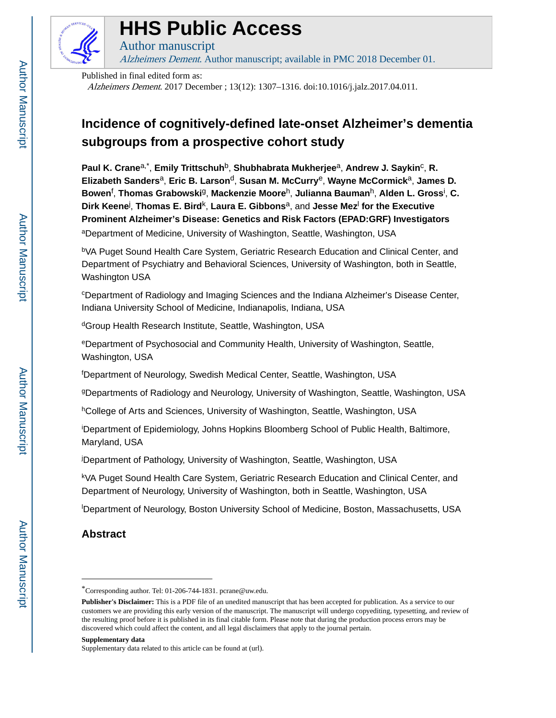

## **HHS Public Access**

Author manuscript Alzheimers Dement. Author manuscript; available in PMC 2018 December 01.

Published in final edited form as:

Alzheimers Dement. 2017 December ; 13(12): 1307–1316. doi:10.1016/j.jalz.2017.04.011.

### **Incidence of cognitively-defined late-onset Alzheimer's dementia subgroups from a prospective cohort study**

Paul K. Crane<sup>a,\*</sup>, Emily Trittschuh<sup>b</sup>, Shubhabrata Mukherjee<sup>a</sup>, Andrew J. Saykin<sup>c</sup>, R. **Elizabeth Sanders**a, **Eric B. Larson**d, **Susan M. McCurry**e, **Wayne McCormick**a, **James D. Bowen**<sup>f</sup> , **Thomas Grabowski**g, **Mackenzie Moore**h, **Julianna Bauman**h, **Alden L. Gross**<sup>i</sup> , **C. Dirk Keene<sup>j</sup>, Thomas E. Bird<sup>k</sup>, Laura E. Gibbons<sup>a</sup>, and Jesse Mez<sup>l</sup> for the Executive Prominent Alzheimer's Disease: Genetics and Risk Factors (EPAD:GRF) Investigators** aDepartment of Medicine, University of Washington, Seattle, Washington, USA

<sup>b</sup>VA Puget Sound Health Care System, Geriatric Research Education and Clinical Center, and Department of Psychiatry and Behavioral Sciences, University of Washington, both in Seattle, Washington USA

<sup>c</sup>Department of Radiology and Imaging Sciences and the Indiana Alzheimer's Disease Center, Indiana University School of Medicine, Indianapolis, Indiana, USA

<sup>d</sup>Group Health Research Institute, Seattle, Washington, USA

<sup>e</sup>Department of Psychosocial and Community Health, University of Washington, Seattle, Washington, USA

<sup>f</sup>Department of Neurology, Swedish Medical Center, Seattle, Washington, USA

<sup>g</sup>Departments of Radiology and Neurology, University of Washington, Seattle, Washington, USA

hCollege of Arts and Sciences, University of Washington, Seattle, Washington, USA

<sup>i</sup>Department of Epidemiology, Johns Hopkins Bloomberg School of Public Health, Baltimore, Maryland, USA

<sup>j</sup>Department of Pathology, University of Washington, Seattle, Washington, USA

<sup>k</sup>VA Puget Sound Health Care System, Geriatric Research Education and Clinical Center, and Department of Neurology, University of Washington, both in Seattle, Washington, USA

<sup>l</sup>Department of Neurology, Boston University School of Medicine, Boston, Massachusetts, USA

#### **Abstract**

#### **Supplementary data**

<sup>\*</sup>Corresponding author. Tel: 01-206-744-1831. pcrane@uw.edu.

**Publisher's Disclaimer:** This is a PDF file of an unedited manuscript that has been accepted for publication. As a service to our customers we are providing this early version of the manuscript. The manuscript will undergo copyediting, typesetting, and review of the resulting proof before it is published in its final citable form. Please note that during the production process errors may be discovered which could affect the content, and all legal disclaimers that apply to the journal pertain.

Supplementary data related to this article can be found at (url).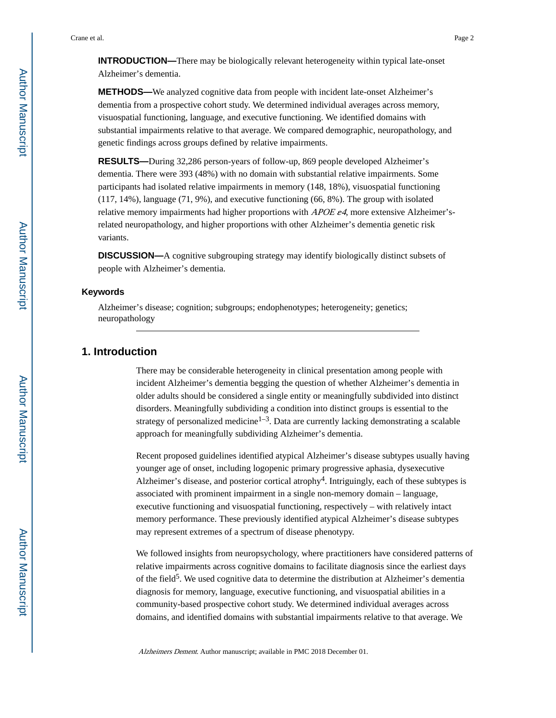**INTRODUCTION—**There may be biologically relevant heterogeneity within typical late-onset Alzheimer's dementia.

**METHODS—**We analyzed cognitive data from people with incident late-onset Alzheimer's dementia from a prospective cohort study. We determined individual averages across memory, visuospatial functioning, language, and executive functioning. We identified domains with substantial impairments relative to that average. We compared demographic, neuropathology, and genetic findings across groups defined by relative impairments.

**RESULTS—**During 32,286 person-years of follow-up, 869 people developed Alzheimer's dementia. There were 393 (48%) with no domain with substantial relative impairments. Some participants had isolated relative impairments in memory (148, 18%), visuospatial functioning (117, 14%), language (71, 9%), and executive functioning (66, 8%). The group with isolated relative memory impairments had higher proportions with  $APOE$   $e4$ , more extensive Alzheimer'srelated neuropathology, and higher proportions with other Alzheimer's dementia genetic risk variants.

**DISCUSSION—**A cognitive subgrouping strategy may identify biologically distinct subsets of people with Alzheimer's dementia.

#### **Keywords**

Alzheimer's disease; cognition; subgroups; endophenotypes; heterogeneity; genetics; neuropathology

#### **1. Introduction**

There may be considerable heterogeneity in clinical presentation among people with incident Alzheimer's dementia begging the question of whether Alzheimer's dementia in older adults should be considered a single entity or meaningfully subdivided into distinct disorders. Meaningfully subdividing a condition into distinct groups is essential to the strategy of personalized medicine<sup>1–3</sup>. Data are currently lacking demonstrating a scalable approach for meaningfully subdividing Alzheimer's dementia.

Recent proposed guidelines identified atypical Alzheimer's disease subtypes usually having younger age of onset, including logopenic primary progressive aphasia, dysexecutive Alzheimer's disease, and posterior cortical atrophy<sup>4</sup>. Intriguingly, each of these subtypes is associated with prominent impairment in a single non-memory domain – language, executive functioning and visuospatial functioning, respectively – with relatively intact memory performance. These previously identified atypical Alzheimer's disease subtypes may represent extremes of a spectrum of disease phenotypy.

We followed insights from neuropsychology, where practitioners have considered patterns of relative impairments across cognitive domains to facilitate diagnosis since the earliest days of the field<sup>5</sup>. We used cognitive data to determine the distribution at Alzheimer's dementia diagnosis for memory, language, executive functioning, and visuospatial abilities in a community-based prospective cohort study. We determined individual averages across domains, and identified domains with substantial impairments relative to that average. We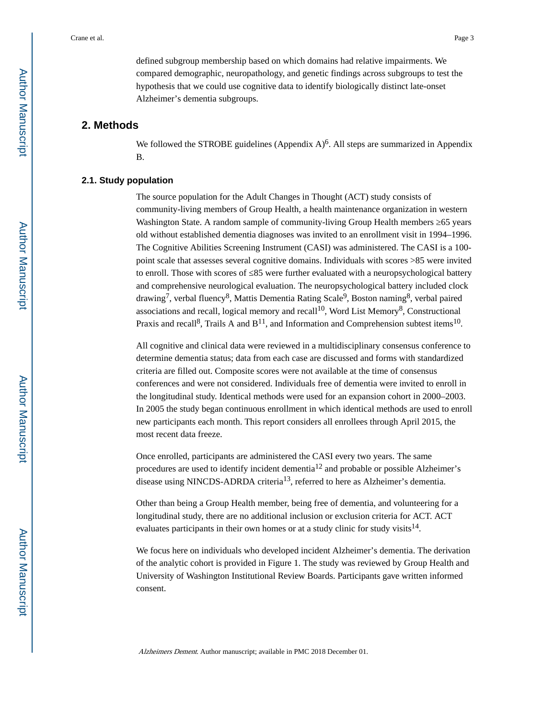defined subgroup membership based on which domains had relative impairments. We compared demographic, neuropathology, and genetic findings across subgroups to test the hypothesis that we could use cognitive data to identify biologically distinct late-onset Alzheimer's dementia subgroups.

#### **2. Methods**

We followed the STROBE guidelines (Appendix  $A$ )<sup>6</sup>. All steps are summarized in Appendix B.

#### **2.1. Study population**

The source population for the Adult Changes in Thought (ACT) study consists of community-living members of Group Health, a health maintenance organization in western Washington State. A random sample of community-living Group Health members 65 years old without established dementia diagnoses was invited to an enrollment visit in 1994–1996. The Cognitive Abilities Screening Instrument (CASI) was administered. The CASI is a 100 point scale that assesses several cognitive domains. Individuals with scores >85 were invited to enroll. Those with scores of 85 were further evaluated with a neuropsychological battery and comprehensive neurological evaluation. The neuropsychological battery included clock drawing<sup>7</sup>, verbal fluency<sup>8</sup>, Mattis Dementia Rating Scale<sup>9</sup>, Boston naming<sup>8</sup>, verbal paired associations and recall, logical memory and recall<sup>10</sup>, Word List Memory<sup>8</sup>, Constructional Praxis and recall<sup>8</sup>, Trails A and  $B^{11}$ , and Information and Comprehension subtest items<sup>10</sup>.

All cognitive and clinical data were reviewed in a multidisciplinary consensus conference to determine dementia status; data from each case are discussed and forms with standardized criteria are filled out. Composite scores were not available at the time of consensus conferences and were not considered. Individuals free of dementia were invited to enroll in the longitudinal study. Identical methods were used for an expansion cohort in 2000–2003. In 2005 the study began continuous enrollment in which identical methods are used to enroll new participants each month. This report considers all enrollees through April 2015, the most recent data freeze.

Once enrolled, participants are administered the CASI every two years. The same procedures are used to identify incident dementia<sup>12</sup> and probable or possible Alzheimer's disease using NINCDS-ADRDA criteria<sup>13</sup>, referred to here as Alzheimer's dementia.

Other than being a Group Health member, being free of dementia, and volunteering for a longitudinal study, there are no additional inclusion or exclusion criteria for ACT. ACT evaluates participants in their own homes or at a study clinic for study visits  $14$ .

We focus here on individuals who developed incident Alzheimer's dementia. The derivation of the analytic cohort is provided in Figure 1. The study was reviewed by Group Health and University of Washington Institutional Review Boards. Participants gave written informed consent.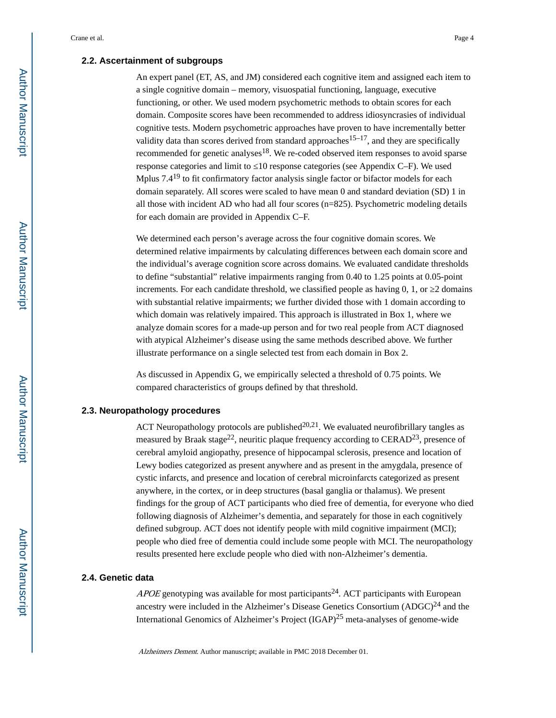#### **2.2. Ascertainment of subgroups**

An expert panel (ET, AS, and JM) considered each cognitive item and assigned each item to a single cognitive domain – memory, visuospatial functioning, language, executive functioning, or other. We used modern psychometric methods to obtain scores for each domain. Composite scores have been recommended to address idiosyncrasies of individual cognitive tests. Modern psychometric approaches have proven to have incrementally better validity data than scores derived from standard approaches<sup>15–17</sup>, and they are specifically recommended for genetic analyses $18$ . We re-coded observed item responses to avoid sparse response categories and limit to ≤10 response categories (see Appendix C–F). We used Mplus  $7.4^{19}$  to fit confirmatory factor analysis single factor or bifactor models for each domain separately. All scores were scaled to have mean 0 and standard deviation (SD) 1 in all those with incident AD who had all four scores (n=825). Psychometric modeling details for each domain are provided in Appendix C–F.

We determined each person's average across the four cognitive domain scores. We determined relative impairments by calculating differences between each domain score and the individual's average cognition score across domains. We evaluated candidate thresholds to define "substantial" relative impairments ranging from 0.40 to 1.25 points at 0.05-point increments. For each candidate threshold, we classified people as having  $0, 1,$  or  $2$  domains with substantial relative impairments; we further divided those with 1 domain according to which domain was relatively impaired. This approach is illustrated in Box 1, where we analyze domain scores for a made-up person and for two real people from ACT diagnosed with atypical Alzheimer's disease using the same methods described above. We further illustrate performance on a single selected test from each domain in Box 2.

As discussed in Appendix G, we empirically selected a threshold of 0.75 points. We compared characteristics of groups defined by that threshold.

#### **2.3. Neuropathology procedures**

ACT Neuropathology protocols are published $^{20,21}$ . We evaluated neurofibrillary tangles as measured by Braak stage<sup>22</sup>, neuritic plaque frequency according to CERAD<sup>23</sup>, presence of cerebral amyloid angiopathy, presence of hippocampal sclerosis, presence and location of Lewy bodies categorized as present anywhere and as present in the amygdala, presence of cystic infarcts, and presence and location of cerebral microinfarcts categorized as present anywhere, in the cortex, or in deep structures (basal ganglia or thalamus). We present findings for the group of ACT participants who died free of dementia, for everyone who died following diagnosis of Alzheimer's dementia, and separately for those in each cognitively defined subgroup. ACT does not identify people with mild cognitive impairment (MCI); people who died free of dementia could include some people with MCI. The neuropathology results presented here exclude people who died with non-Alzheimer's dementia.

#### **2.4. Genetic data**

 $APOE$  genotyping was available for most participants<sup>24</sup>. ACT participants with European ancestry were included in the Alzheimer's Disease Genetics Consortium  $(ADC)^{24}$  and the International Genomics of Alzheimer's Project (IGAP)25 meta-analyses of genome-wide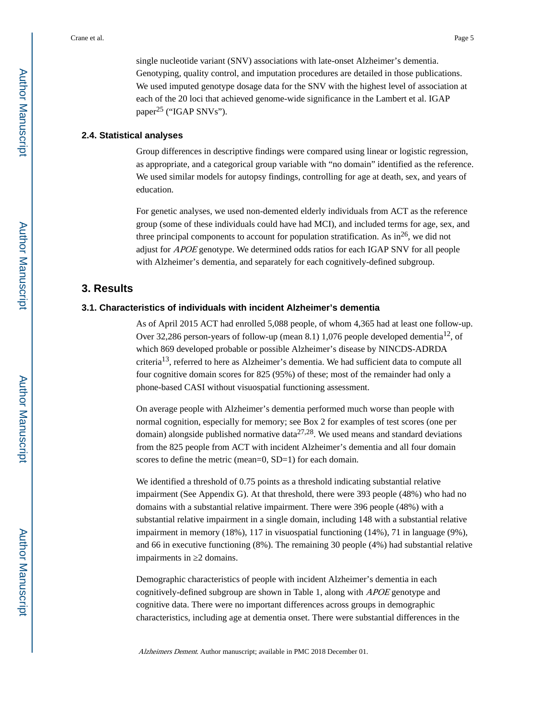single nucleotide variant (SNV) associations with late-onset Alzheimer's dementia. Genotyping, quality control, and imputation procedures are detailed in those publications. We used imputed genotype dosage data for the SNV with the highest level of association at each of the 20 loci that achieved genome-wide significance in the Lambert et al. IGAP paper<sup>25</sup> ("IGAP SNVs").

#### **2.4. Statistical analyses**

Group differences in descriptive findings were compared using linear or logistic regression, as appropriate, and a categorical group variable with "no domain" identified as the reference. We used similar models for autopsy findings, controlling for age at death, sex, and years of education.

For genetic analyses, we used non-demented elderly individuals from ACT as the reference group (some of these individuals could have had MCI), and included terms for age, sex, and three principal components to account for population stratification. As  $in^{26}$ , we did not adjust for APOE genotype. We determined odds ratios for each IGAP SNV for all people with Alzheimer's dementia, and separately for each cognitively-defined subgroup.

#### **3. Results**

#### **3.1. Characteristics of individuals with incident Alzheimer's dementia**

As of April 2015 ACT had enrolled 5,088 people, of whom 4,365 had at least one follow-up. Over 32,286 person-years of follow-up (mean 8.1) 1,076 people developed dementia<sup>12</sup>, of which 869 developed probable or possible Alzheimer's disease by NINCDS-ADRDA criteria13, referred to here as Alzheimer's dementia. We had sufficient data to compute all four cognitive domain scores for 825 (95%) of these; most of the remainder had only a phone-based CASI without visuospatial functioning assessment.

On average people with Alzheimer's dementia performed much worse than people with normal cognition, especially for memory; see Box 2 for examples of test scores (one per domain) alongside published normative data $27.28$ . We used means and standard deviations from the 825 people from ACT with incident Alzheimer's dementia and all four domain scores to define the metric (mean=0, SD=1) for each domain.

We identified a threshold of 0.75 points as a threshold indicating substantial relative impairment (See Appendix G). At that threshold, there were 393 people (48%) who had no domains with a substantial relative impairment. There were 396 people (48%) with a substantial relative impairment in a single domain, including 148 with a substantial relative impairment in memory (18%), 117 in visuospatial functioning (14%), 71 in language (9%), and 66 in executive functioning (8%). The remaining 30 people (4%) had substantial relative impairments in 2 domains.

Demographic characteristics of people with incident Alzheimer's dementia in each cognitively-defined subgroup are shown in Table 1, along with APOE genotype and cognitive data. There were no important differences across groups in demographic characteristics, including age at dementia onset. There were substantial differences in the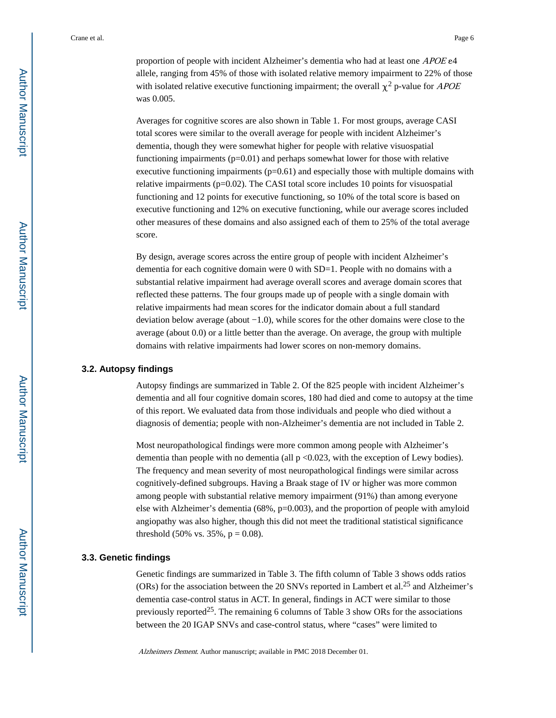proportion of people with incident Alzheimer's dementia who had at least one APOE e4 allele, ranging from 45% of those with isolated relative memory impairment to 22% of those with isolated relative executive functioning impairment; the overall  $\chi^2$  p-value for *APOE* was 0.005.

Averages for cognitive scores are also shown in Table 1. For most groups, average CASI total scores were similar to the overall average for people with incident Alzheimer's dementia, though they were somewhat higher for people with relative visuospatial functioning impairments (p=0.01) and perhaps somewhat lower for those with relative executive functioning impairments  $(p=0.61)$  and especially those with multiple domains with relative impairments  $(p=0.02)$ . The CASI total score includes 10 points for visuospatial functioning and 12 points for executive functioning, so 10% of the total score is based on executive functioning and 12% on executive functioning, while our average scores included other measures of these domains and also assigned each of them to 25% of the total average score.

By design, average scores across the entire group of people with incident Alzheimer's dementia for each cognitive domain were 0 with SD=1. People with no domains with a substantial relative impairment had average overall scores and average domain scores that reflected these patterns. The four groups made up of people with a single domain with relative impairments had mean scores for the indicator domain about a full standard deviation below average (about −1.0), while scores for the other domains were close to the average (about 0.0) or a little better than the average. On average, the group with multiple domains with relative impairments had lower scores on non-memory domains.

#### **3.2. Autopsy findings**

Autopsy findings are summarized in Table 2. Of the 825 people with incident Alzheimer's dementia and all four cognitive domain scores, 180 had died and come to autopsy at the time of this report. We evaluated data from those individuals and people who died without a diagnosis of dementia; people with non-Alzheimer's dementia are not included in Table 2.

Most neuropathological findings were more common among people with Alzheimer's dementia than people with no dementia (all p <0.023, with the exception of Lewy bodies). The frequency and mean severity of most neuropathological findings were similar across cognitively-defined subgroups. Having a Braak stage of IV or higher was more common among people with substantial relative memory impairment (91%) than among everyone else with Alzheimer's dementia (68%, p=0.003), and the proportion of people with amyloid angiopathy was also higher, though this did not meet the traditional statistical significance threshold (50% vs. 35%,  $p = 0.08$ ).

#### **3.3. Genetic findings**

Genetic findings are summarized in Table 3. The fifth column of Table 3 shows odds ratios (ORs) for the association between the 20 SNVs reported in Lambert et al.25 and Alzheimer's dementia case-control status in ACT. In general, findings in ACT were similar to those previously reported<sup>25</sup>. The remaining 6 columns of Table 3 show ORs for the associations between the 20 IGAP SNVs and case-control status, where "cases" were limited to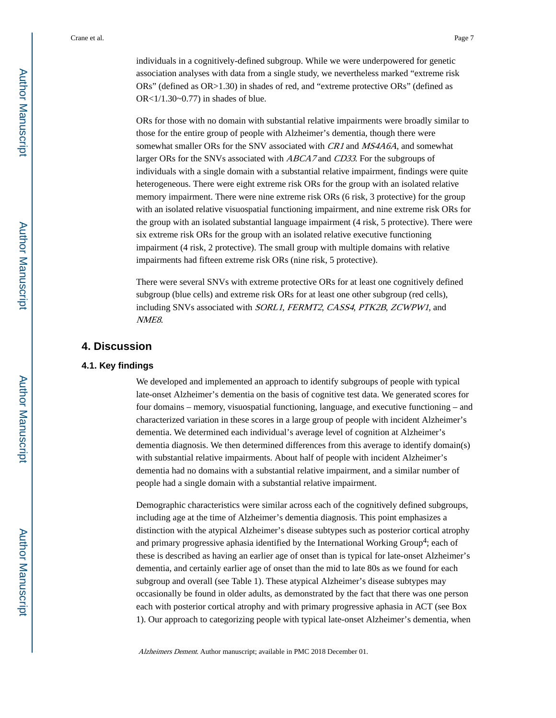individuals in a cognitively-defined subgroup. While we were underpowered for genetic association analyses with data from a single study, we nevertheless marked "extreme risk ORs" (defined as OR>1.30) in shades of red, and "extreme protective ORs" (defined as OR<1/1.30~0.77) in shades of blue.

ORs for those with no domain with substantial relative impairments were broadly similar to those for the entire group of people with Alzheimer's dementia, though there were somewhat smaller ORs for the SNV associated with CR1 and MS4A6A, and somewhat larger ORs for the SNVs associated with ABCA7 and CD33. For the subgroups of individuals with a single domain with a substantial relative impairment, findings were quite heterogeneous. There were eight extreme risk ORs for the group with an isolated relative memory impairment. There were nine extreme risk ORs (6 risk, 3 protective) for the group with an isolated relative visuospatial functioning impairment, and nine extreme risk ORs for the group with an isolated substantial language impairment (4 risk, 5 protective). There were six extreme risk ORs for the group with an isolated relative executive functioning impairment (4 risk, 2 protective). The small group with multiple domains with relative impairments had fifteen extreme risk ORs (nine risk, 5 protective).

There were several SNVs with extreme protective ORs for at least one cognitively defined subgroup (blue cells) and extreme risk ORs for at least one other subgroup (red cells), including SNVs associated with SORL1, FERMT2, CASS4, PTK2B, ZCWPW1, and NME8.

#### **4. Discussion**

#### **4.1. Key findings**

We developed and implemented an approach to identify subgroups of people with typical late-onset Alzheimer's dementia on the basis of cognitive test data. We generated scores for four domains – memory, visuospatial functioning, language, and executive functioning – and characterized variation in these scores in a large group of people with incident Alzheimer's dementia. We determined each individual's average level of cognition at Alzheimer's dementia diagnosis. We then determined differences from this average to identify domain(s) with substantial relative impairments. About half of people with incident Alzheimer's dementia had no domains with a substantial relative impairment, and a similar number of people had a single domain with a substantial relative impairment.

Demographic characteristics were similar across each of the cognitively defined subgroups, including age at the time of Alzheimer's dementia diagnosis. This point emphasizes a distinction with the atypical Alzheimer's disease subtypes such as posterior cortical atrophy and primary progressive aphasia identified by the International Working Group<sup>4</sup>; each of these is described as having an earlier age of onset than is typical for late-onset Alzheimer's dementia, and certainly earlier age of onset than the mid to late 80s as we found for each subgroup and overall (see Table 1). These atypical Alzheimer's disease subtypes may occasionally be found in older adults, as demonstrated by the fact that there was one person each with posterior cortical atrophy and with primary progressive aphasia in ACT (see Box 1). Our approach to categorizing people with typical late-onset Alzheimer's dementia, when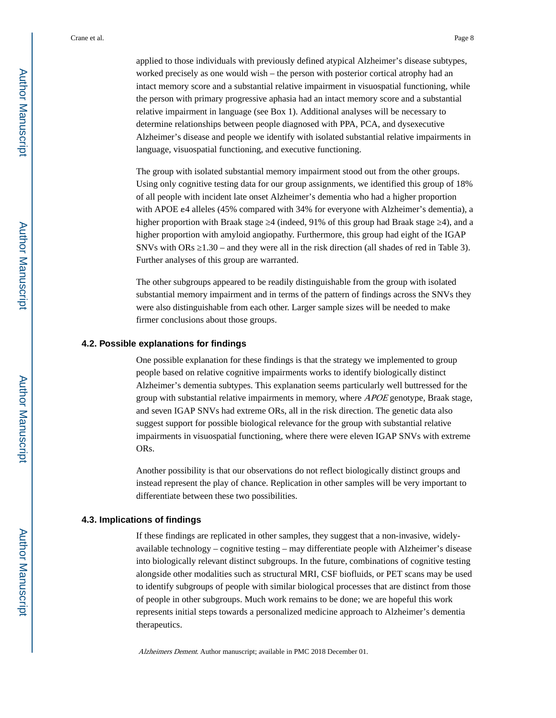applied to those individuals with previously defined atypical Alzheimer's disease subtypes, worked precisely as one would wish – the person with posterior cortical atrophy had an intact memory score and a substantial relative impairment in visuospatial functioning, while the person with primary progressive aphasia had an intact memory score and a substantial relative impairment in language (see Box 1). Additional analyses will be necessary to determine relationships between people diagnosed with PPA, PCA, and dysexecutive Alzheimer's disease and people we identify with isolated substantial relative impairments in language, visuospatial functioning, and executive functioning.

The group with isolated substantial memory impairment stood out from the other groups. Using only cognitive testing data for our group assignments, we identified this group of 18% of all people with incident late onset Alzheimer's dementia who had a higher proportion with APOE ε4 alleles (45% compared with 34% for everyone with Alzheimer's dementia), a higher proportion with Braak stage  $\frac{4}{10}$  (indeed, 91% of this group had Braak stage  $\frac{4}{10}$ , and a higher proportion with amyloid angiopathy. Furthermore, this group had eight of the IGAP SNVs with ORs  $1.30$  – and they were all in the risk direction (all shades of red in Table 3). Further analyses of this group are warranted.

The other subgroups appeared to be readily distinguishable from the group with isolated substantial memory impairment and in terms of the pattern of findings across the SNVs they were also distinguishable from each other. Larger sample sizes will be needed to make firmer conclusions about those groups.

#### **4.2. Possible explanations for findings**

One possible explanation for these findings is that the strategy we implemented to group people based on relative cognitive impairments works to identify biologically distinct Alzheimer's dementia subtypes. This explanation seems particularly well buttressed for the group with substantial relative impairments in memory, where APOE genotype, Braak stage, and seven IGAP SNVs had extreme ORs, all in the risk direction. The genetic data also suggest support for possible biological relevance for the group with substantial relative impairments in visuospatial functioning, where there were eleven IGAP SNVs with extreme ORs.

Another possibility is that our observations do not reflect biologically distinct groups and instead represent the play of chance. Replication in other samples will be very important to differentiate between these two possibilities.

#### **4.3. Implications of findings**

If these findings are replicated in other samples, they suggest that a non-invasive, widelyavailable technology – cognitive testing – may differentiate people with Alzheimer's disease into biologically relevant distinct subgroups. In the future, combinations of cognitive testing alongside other modalities such as structural MRI, CSF biofluids, or PET scans may be used to identify subgroups of people with similar biological processes that are distinct from those of people in other subgroups. Much work remains to be done; we are hopeful this work represents initial steps towards a personalized medicine approach to Alzheimer's dementia therapeutics.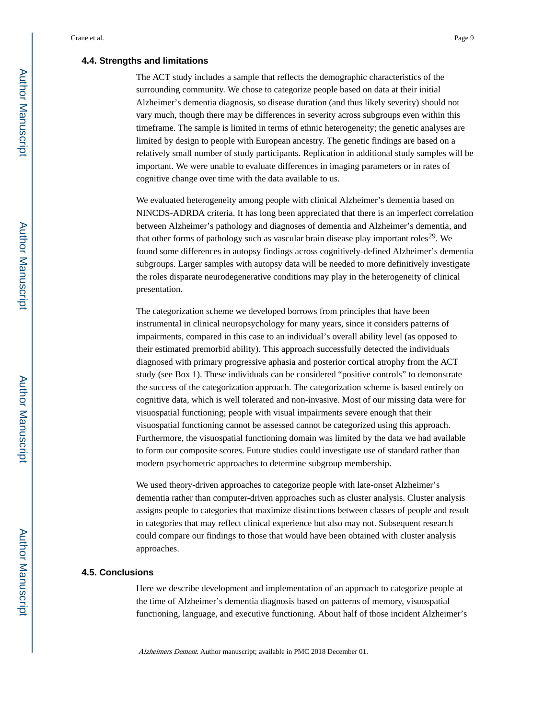#### **4.4. Strengths and limitations**

The ACT study includes a sample that reflects the demographic characteristics of the surrounding community. We chose to categorize people based on data at their initial Alzheimer's dementia diagnosis, so disease duration (and thus likely severity) should not vary much, though there may be differences in severity across subgroups even within this timeframe. The sample is limited in terms of ethnic heterogeneity; the genetic analyses are limited by design to people with European ancestry. The genetic findings are based on a relatively small number of study participants. Replication in additional study samples will be important. We were unable to evaluate differences in imaging parameters or in rates of cognitive change over time with the data available to us.

We evaluated heterogeneity among people with clinical Alzheimer's dementia based on NINCDS-ADRDA criteria. It has long been appreciated that there is an imperfect correlation between Alzheimer's pathology and diagnoses of dementia and Alzheimer's dementia, and that other forms of pathology such as vascular brain disease play important roles<sup>29</sup>. We found some differences in autopsy findings across cognitively-defined Alzheimer's dementia subgroups. Larger samples with autopsy data will be needed to more definitively investigate the roles disparate neurodegenerative conditions may play in the heterogeneity of clinical presentation.

The categorization scheme we developed borrows from principles that have been instrumental in clinical neuropsychology for many years, since it considers patterns of impairments, compared in this case to an individual's overall ability level (as opposed to their estimated premorbid ability). This approach successfully detected the individuals diagnosed with primary progressive aphasia and posterior cortical atrophy from the ACT study (see Box 1). These individuals can be considered "positive controls" to demonstrate the success of the categorization approach. The categorization scheme is based entirely on cognitive data, which is well tolerated and non-invasive. Most of our missing data were for visuospatial functioning; people with visual impairments severe enough that their visuospatial functioning cannot be assessed cannot be categorized using this approach. Furthermore, the visuospatial functioning domain was limited by the data we had available to form our composite scores. Future studies could investigate use of standard rather than modern psychometric approaches to determine subgroup membership.

We used theory-driven approaches to categorize people with late-onset Alzheimer's dementia rather than computer-driven approaches such as cluster analysis. Cluster analysis assigns people to categories that maximize distinctions between classes of people and result in categories that may reflect clinical experience but also may not. Subsequent research could compare our findings to those that would have been obtained with cluster analysis approaches.

#### **4.5. Conclusions**

Here we describe development and implementation of an approach to categorize people at the time of Alzheimer's dementia diagnosis based on patterns of memory, visuospatial functioning, language, and executive functioning. About half of those incident Alzheimer's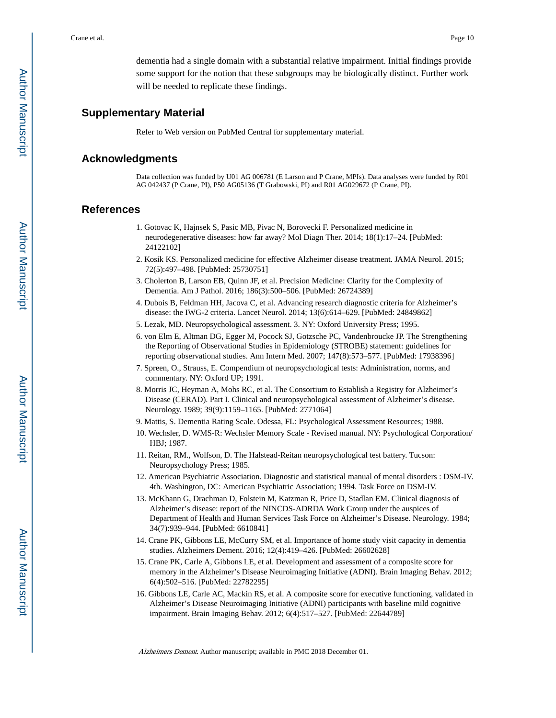dementia had a single domain with a substantial relative impairment. Initial findings provide some support for the notion that these subgroups may be biologically distinct. Further work will be needed to replicate these findings.

#### **Supplementary Material**

Refer to Web version on PubMed Central for supplementary material.

#### **Acknowledgments**

Data collection was funded by U01 AG 006781 (E Larson and P Crane, MPIs). Data analyses were funded by R01 AG 042437 (P Crane, PI), P50 AG05136 (T Grabowski, PI) and R01 AG029672 (P Crane, PI).

#### **References**

- 1. Gotovac K, Hajnsek S, Pasic MB, Pivac N, Borovecki F. Personalized medicine in neurodegenerative diseases: how far away? Mol Diagn Ther. 2014; 18(1):17–24. [PubMed: 24122102]
- 2. Kosik KS. Personalized medicine for effective Alzheimer disease treatment. JAMA Neurol. 2015; 72(5):497–498. [PubMed: 25730751]
- 3. Cholerton B, Larson EB, Quinn JF, et al. Precision Medicine: Clarity for the Complexity of Dementia. Am J Pathol. 2016; 186(3):500–506. [PubMed: 26724389]
- 4. Dubois B, Feldman HH, Jacova C, et al. Advancing research diagnostic criteria for Alzheimer's disease: the IWG-2 criteria. Lancet Neurol. 2014; 13(6):614–629. [PubMed: 24849862]
- 5. Lezak, MD. Neuropsychological assessment. 3. NY: Oxford University Press; 1995.
- 6. von Elm E, Altman DG, Egger M, Pocock SJ, Gotzsche PC, Vandenbroucke JP. The Strengthening the Reporting of Observational Studies in Epidemiology (STROBE) statement: guidelines for reporting observational studies. Ann Intern Med. 2007; 147(8):573–577. [PubMed: 17938396]
- 7. Spreen, O., Strauss, E. Compendium of neuropsychological tests: Administration, norms, and commentary. NY: Oxford UP; 1991.
- 8. Morris JC, Heyman A, Mohs RC, et al. The Consortium to Establish a Registry for Alzheimer's Disease (CERAD). Part I. Clinical and neuropsychological assessment of Alzheimer's disease. Neurology. 1989; 39(9):1159–1165. [PubMed: 2771064]
- 9. Mattis, S. Dementia Rating Scale. Odessa, FL: Psychological Assessment Resources; 1988.
- 10. Wechsler, D. WMS-R: Wechsler Memory Scale Revised manual. NY: Psychological Corporation/ HBJ; 1987.
- 11. Reitan, RM., Wolfson, D. The Halstead-Reitan neuropsychological test battery. Tucson: Neuropsychology Press; 1985.
- 12. American Psychiatric Association. Diagnostic and statistical manual of mental disorders : DSM-IV. 4th. Washington, DC: American Psychiatric Association; 1994. Task Force on DSM-IV.
- 13. McKhann G, Drachman D, Folstein M, Katzman R, Price D, Stadlan EM. Clinical diagnosis of Alzheimer's disease: report of the NINCDS-ADRDA Work Group under the auspices of Department of Health and Human Services Task Force on Alzheimer's Disease. Neurology. 1984; 34(7):939–944. [PubMed: 6610841]
- 14. Crane PK, Gibbons LE, McCurry SM, et al. Importance of home study visit capacity in dementia studies. Alzheimers Dement. 2016; 12(4):419–426. [PubMed: 26602628]
- 15. Crane PK, Carle A, Gibbons LE, et al. Development and assessment of a composite score for memory in the Alzheimer's Disease Neuroimaging Initiative (ADNI). Brain Imaging Behav. 2012; 6(4):502–516. [PubMed: 22782295]
- 16. Gibbons LE, Carle AC, Mackin RS, et al. A composite score for executive functioning, validated in Alzheimer's Disease Neuroimaging Initiative (ADNI) participants with baseline mild cognitive impairment. Brain Imaging Behav. 2012; 6(4):517–527. [PubMed: 22644789]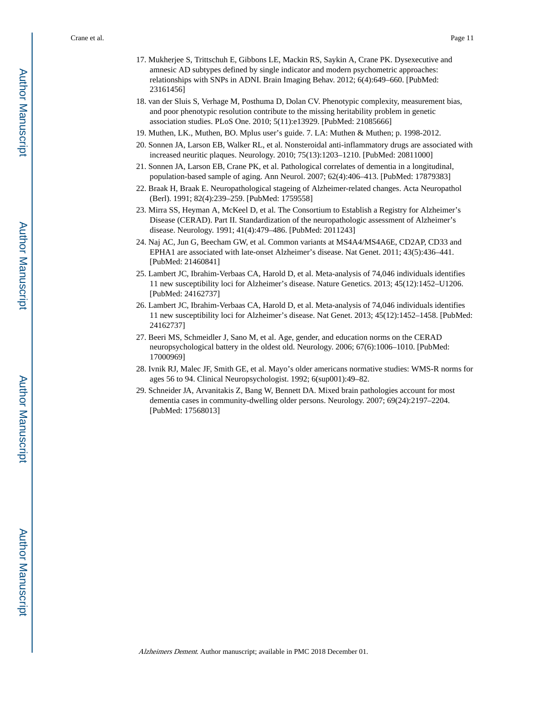- 17. Mukherjee S, Trittschuh E, Gibbons LE, Mackin RS, Saykin A, Crane PK. Dysexecutive and amnesic AD subtypes defined by single indicator and modern psychometric approaches: relationships with SNPs in ADNI. Brain Imaging Behav. 2012; 6(4):649–660. [PubMed: 23161456]
- 18. van der Sluis S, Verhage M, Posthuma D, Dolan CV. Phenotypic complexity, measurement bias, and poor phenotypic resolution contribute to the missing heritability problem in genetic association studies. PLoS One. 2010; 5(11):e13929. [PubMed: 21085666]
- 19. Muthen, LK., Muthen, BO. Mplus user's guide. 7. LA: Muthen & Muthen; p. 1998-2012.
- 20. Sonnen JA, Larson EB, Walker RL, et al. Nonsteroidal anti-inflammatory drugs are associated with increased neuritic plaques. Neurology. 2010; 75(13):1203–1210. [PubMed: 20811000]
- 21. Sonnen JA, Larson EB, Crane PK, et al. Pathological correlates of dementia in a longitudinal, population-based sample of aging. Ann Neurol. 2007; 62(4):406–413. [PubMed: 17879383]
- 22. Braak H, Braak E. Neuropathological stageing of Alzheimer-related changes. Acta Neuropathol (Berl). 1991; 82(4):239–259. [PubMed: 1759558]
- 23. Mirra SS, Heyman A, McKeel D, et al. The Consortium to Establish a Registry for Alzheimer's Disease (CERAD). Part II. Standardization of the neuropathologic assessment of Alzheimer's disease. Neurology. 1991; 41(4):479–486. [PubMed: 2011243]
- 24. Naj AC, Jun G, Beecham GW, et al. Common variants at MS4A4/MS4A6E, CD2AP, CD33 and EPHA1 are associated with late-onset Alzheimer's disease. Nat Genet. 2011; 43(5):436–441. [PubMed: 21460841]
- 25. Lambert JC, Ibrahim-Verbaas CA, Harold D, et al. Meta-analysis of 74,046 individuals identifies 11 new susceptibility loci for Alzheimer's disease. Nature Genetics. 2013; 45(12):1452–U1206. [PubMed: 24162737]
- 26. Lambert JC, Ibrahim-Verbaas CA, Harold D, et al. Meta-analysis of 74,046 individuals identifies 11 new susceptibility loci for Alzheimer's disease. Nat Genet. 2013; 45(12):1452–1458. [PubMed: 24162737]
- 27. Beeri MS, Schmeidler J, Sano M, et al. Age, gender, and education norms on the CERAD neuropsychological battery in the oldest old. Neurology. 2006; 67(6):1006–1010. [PubMed: 17000969]
- 28. Ivnik RJ, Malec JF, Smith GE, et al. Mayo's older americans normative studies: WMS-R norms for ages 56 to 94. Clinical Neuropsychologist. 1992; 6(sup001):49–82.
- 29. Schneider JA, Arvanitakis Z, Bang W, Bennett DA. Mixed brain pathologies account for most dementia cases in community-dwelling older persons. Neurology. 2007; 69(24):2197–2204. [PubMed: 17568013]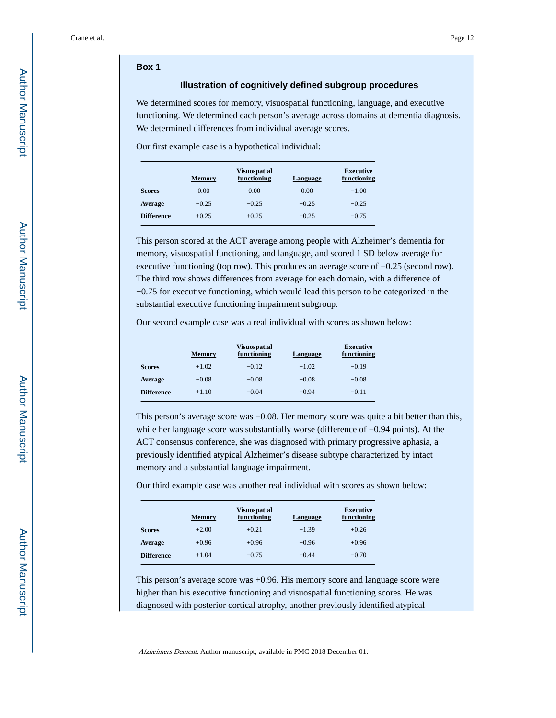#### **Box 1**

#### **Illustration of cognitively defined subgroup procedures**

We determined scores for memory, visuospatial functioning, language, and executive functioning. We determined each person's average across domains at dementia diagnosis. We determined differences from individual average scores.

Our first example case is a hypothetical individual:

|                   | Memory  | <b>Visuospatial</b><br>functioning | Language | Executive<br>functioning |
|-------------------|---------|------------------------------------|----------|--------------------------|
| <b>Scores</b>     | 0.00    | 0.00                               | 0.00     | $-1.00$                  |
| Average           | $-0.25$ | $-0.25$                            | $-0.25$  | $-0.25$                  |
| <b>Difference</b> | $+0.25$ | $+0.25$                            | $+0.25$  | $-0.75$                  |

This person scored at the ACT average among people with Alzheimer's dementia for memory, visuospatial functioning, and language, and scored 1 SD below average for executive functioning (top row). This produces an average score of −0.25 (second row). The third row shows differences from average for each domain, with a difference of −0.75 for executive functioning, which would lead this person to be categorized in the substantial executive functioning impairment subgroup.

Our second example case was a real individual with scores as shown below:

|                   | <b>Memory</b> | <b>Visuospatial</b><br>functioning | <b>Language</b> | Executive<br>functioning |
|-------------------|---------------|------------------------------------|-----------------|--------------------------|
| <b>Scores</b>     | $+1.02$       | $-0.12$                            | $-1.02$         | $-0.19$                  |
| Average           | $-0.08$       | $-0.08$                            | $-0.08$         | $-0.08$                  |
| <b>Difference</b> | $+1.10$       | $-0.04$                            | $-0.94$         | $-0.11$                  |

This person's average score was −0.08. Her memory score was quite a bit better than this, while her language score was substantially worse (difference of −0.94 points). At the ACT consensus conference, she was diagnosed with primary progressive aphasia, a previously identified atypical Alzheimer's disease subtype characterized by intact memory and a substantial language impairment.

Our third example case was another real individual with scores as shown below:

|                   | <b>Memory</b> | <b>Visuospatial</b><br>functioning | <b>Language</b> | Executive<br>functioning |
|-------------------|---------------|------------------------------------|-----------------|--------------------------|
| <b>Scores</b>     | $+2.00$       | $+0.21$                            | $+1.39$         | $+0.26$                  |
| Average           | $+0.96$       | $+0.96$                            | $+0.96$         | $+0.96$                  |
| <b>Difference</b> | $+1.04$       | $-0.75$                            | $+0.44$         | $-0.70$                  |

This person's average score was +0.96. His memory score and language score were higher than his executive functioning and visuospatial functioning scores. He was diagnosed with posterior cortical atrophy, another previously identified atypical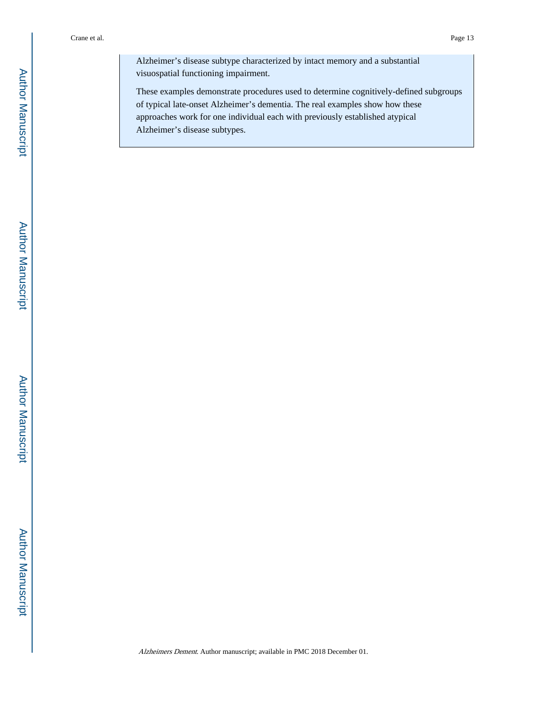Alzheimer's disease subtype characterized by intact memory and a substantial visuospatial functioning impairment.

These examples demonstrate procedures used to determine cognitively-defined subgroups of typical late-onset Alzheimer's dementia. The real examples show how these approaches work for one individual each with previously established atypical Alzheimer's disease subtypes.

Author Manuscript

Author Manuscript

Author Manuscript

Author Manuscript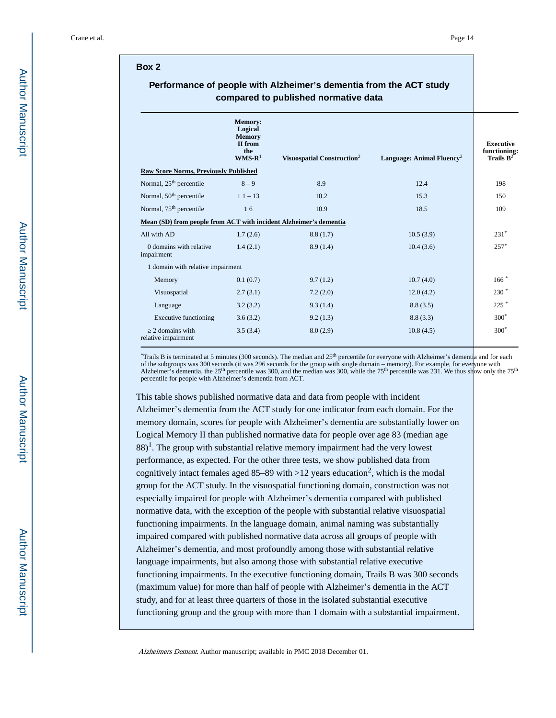#### **Box 2**

#### **Performance of people with Alzheimer's dementia from the ACT study compared to published normative data**

|                                                                   | <b>Memory:</b><br>Logical<br><b>Memory</b><br>II from<br>the |                                        |                                       | <b>Executive</b><br>functioning: |
|-------------------------------------------------------------------|--------------------------------------------------------------|----------------------------------------|---------------------------------------|----------------------------------|
|                                                                   | $WMS-R1$                                                     | Visuospatial Construction <sup>2</sup> | Language: Animal Fluency <sup>2</sup> | Trails $\mathbf{B}^2$            |
| <b>Raw Score Norms, Previously Published</b>                      |                                                              |                                        |                                       |                                  |
| Normal, $25th$ percentile                                         | $8 - 9$                                                      | 8.9                                    | 12.4                                  | 198                              |
| Normal, 50 <sup>th</sup> percentile                               | $11 - 13$                                                    | 10.2                                   | 15.3                                  | 150                              |
| Normal, 75 <sup>th</sup> percentile                               | 16                                                           | 10.9                                   | 18.5                                  | 109                              |
| Mean (SD) from people from ACT with incident Alzheimer's dementia |                                                              |                                        |                                       |                                  |
| All with AD                                                       | 1.7(2.6)                                                     | 8.8(1.7)                               | 10.5(3.9)                             | $231*$                           |
| 0 domains with relative<br>impairment                             | 1.4(2.1)                                                     | 8.9(1.4)                               | 10.4(3.6)                             | $257*$                           |
| 1 domain with relative impairment                                 |                                                              |                                        |                                       |                                  |
| Memory                                                            | 0.1(0.7)                                                     | 9.7(1.2)                               | 10.7(4.0)                             | $166*$                           |
| Visuospatial                                                      | 2.7(3.1)                                                     | 7.2(2.0)                               | 12.0(4.2)                             | $230*$                           |
| Language                                                          | 3.2(3.2)                                                     | 9.3(1.4)                               | 8.8(3.5)                              | $225$ $*$                        |
| <b>Executive functioning</b>                                      | 3.6(3.2)                                                     | 9.2(1.3)                               | 8.8(3.3)                              | $300*$                           |
| 2 domains with<br>relative impairment                             | 3.5(3.4)                                                     | 8.0(2.9)                               | 10.8(4.5)                             | $300*$                           |

<sup>\*</sup>Trails B is terminated at 5 minutes (300 seconds). The median and 25<sup>th</sup> percentile for everyone with Alzheimer's dementia and for each of the subgroups was 300 seconds (it was 296 seconds for the group with single domain – memory). For example, for everyone with<br>Alzheimer's dementia, the 25<sup>th</sup> percentile was 300, and the median was 300, while the 75<sup>th</sup> percentile for people with Alzheimer's dementia from ACT.

This table shows published normative data and data from people with incident Alzheimer's dementia from the ACT study for one indicator from each domain. For the memory domain, scores for people with Alzheimer's dementia are substantially lower on Logical Memory II than published normative data for people over age 83 (median age  $88$ <sup>1</sup>. The group with substantial relative memory impairment had the very lowest performance, as expected. For the other three tests, we show published data from cognitively intact females aged  $85-89$  with  $>12$  years education<sup>2</sup>, which is the modal group for the ACT study. In the visuospatial functioning domain, construction was not especially impaired for people with Alzheimer's dementia compared with published normative data, with the exception of the people with substantial relative visuospatial functioning impairments. In the language domain, animal naming was substantially impaired compared with published normative data across all groups of people with Alzheimer's dementia, and most profoundly among those with substantial relative language impairments, but also among those with substantial relative executive functioning impairments. In the executive functioning domain, Trails B was 300 seconds (maximum value) for more than half of people with Alzheimer's dementia in the ACT study, and for at least three quarters of those in the isolated substantial executive functioning group and the group with more than 1 domain with a substantial impairment.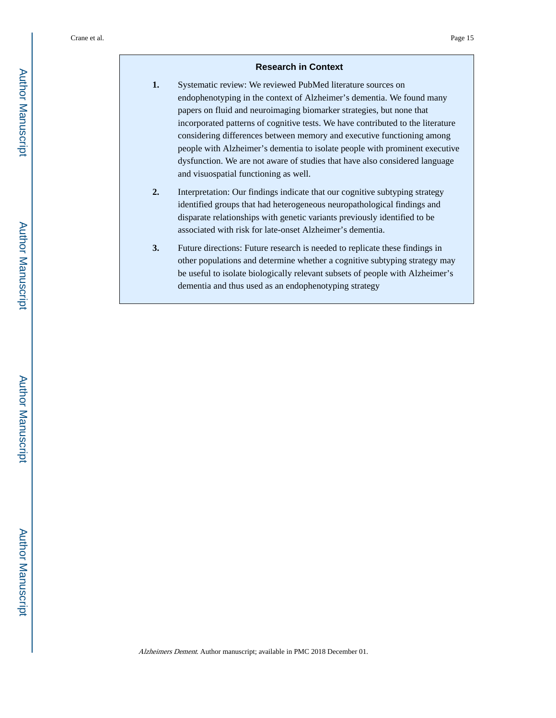#### **Research in Context**

- **1.** Systematic review: We reviewed PubMed literature sources on endophenotyping in the context of Alzheimer's dementia. We found many papers on fluid and neuroimaging biomarker strategies, but none that incorporated patterns of cognitive tests. We have contributed to the literature considering differences between memory and executive functioning among people with Alzheimer's dementia to isolate people with prominent executive dysfunction. We are not aware of studies that have also considered language and visuospatial functioning as well.
- **2.** Interpretation: Our findings indicate that our cognitive subtyping strategy identified groups that had heterogeneous neuropathological findings and disparate relationships with genetic variants previously identified to be associated with risk for late-onset Alzheimer's dementia.
- **3.** Future directions: Future research is needed to replicate these findings in other populations and determine whether a cognitive subtyping strategy may be useful to isolate biologically relevant subsets of people with Alzheimer's dementia and thus used as an endophenotyping strategy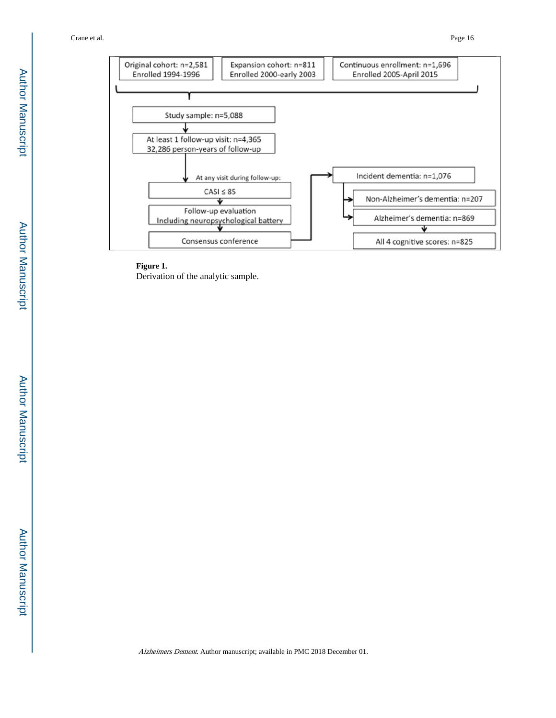

**Figure 1.**  Derivation of the analytic sample.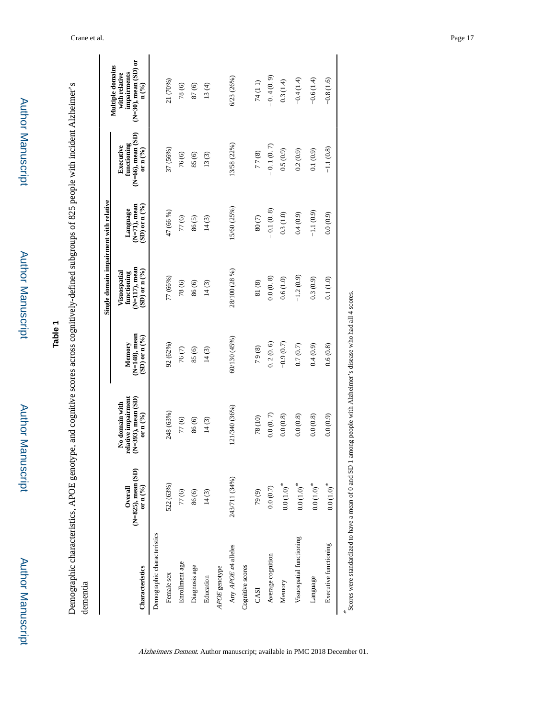| ì |
|---|
|   |
| l |
| ï |
|   |
| ı |
|   |
|   |
| l |
| ٠ |

Author Manuscript

Author Manuscript

**Table 1**

Demographic characteristics, APOE genotype, and cognitive scores across cognitively-defined subgroups of 825 people with incident Alzheimer's Demographic characteristics, APOE genotype, and cognitive scores across cognitively-defined subgroups of 825 people with incident Alzheimer's<br>dementia

|                             |                                                  |                                                                                |                                                      | Single domain impairment with relative                                       |                                                             |                                                                     |                                                                                                   |
|-----------------------------|--------------------------------------------------|--------------------------------------------------------------------------------|------------------------------------------------------|------------------------------------------------------------------------------|-------------------------------------------------------------|---------------------------------------------------------------------|---------------------------------------------------------------------------------------------------|
| Characteristics             | $(N=825)$ , mean $(SD)$<br>or n $(%)$<br>Overall | relative impairment<br>$(N=393)$ , mean $(SD)$<br>No domain with<br>or n $(%)$ | (N=148), mean<br>$(SD)$ or n $(^{9}/_{0})$<br>Memory | $(N=117)$ , mean<br>$(SD)$ or n $(^{9}/_{0})$<br>Visuospatial<br>functioning | $(N=71)$ , mean<br>$\rm (SD)$ or n $\rm (^9\%)$<br>Language | (N=66), mean (SD)<br>functioning<br>Executive<br>or n $(^{9}/_{0})$ | $(N=30)$ , mean $(SD)$ or<br>Multiple domains<br>impairments<br>with relative<br>$\mathbf{n}$ (%) |
| Demographic characteristics |                                                  |                                                                                |                                                      |                                                                              |                                                             |                                                                     |                                                                                                   |
| Female sex                  | 522 (63%)                                        | 248 (63%)                                                                      | 92(62%)                                              | 77 (66%)                                                                     | 47 (66 %)                                                   | 37 (56%)                                                            | 21 (70%)                                                                                          |
| Enrollment age              | 77(6)                                            | 77(6)                                                                          | $76(7)$                                              | 78(6)                                                                        | 77(6)                                                       | 76(6)                                                               | 78(6)                                                                                             |
| Diagnosis age               | 86(6)                                            | 86(6)                                                                          | 85(6)                                                | 86(6)                                                                        | 86(5)                                                       | 85(6)                                                               | 87(6)                                                                                             |
| Education                   | 14(3)                                            | 14(3)                                                                          | 14(3)                                                | 14(3)                                                                        | 14(3)                                                       | 13(3)                                                               | 13(4)                                                                                             |
| APOE genotype               |                                                  |                                                                                |                                                      |                                                                              |                                                             |                                                                     |                                                                                                   |
| Any APOE e4 alleles         | 243/711 (34%)                                    | 121/340 (36%)                                                                  | 60/130 (45%)                                         | 28/100 (28 %)                                                                | 15/60 (25%)                                                 | 13/58 (22%)                                                         | 6/23 (26%)                                                                                        |
| Cognitive scores            |                                                  |                                                                                |                                                      |                                                                              |                                                             |                                                                     |                                                                                                   |
| CASI                        | $79(9)$                                          | 78 (10)                                                                        | 79(8)                                                | 81(8)                                                                        | $80(7)$                                                     | 77(8)                                                               | 74 (11)                                                                                           |
| Average cognition           | 0.0(0.7)                                         | 0.0(0.7)                                                                       | 0.2(0.6)                                             | 0.0(0.8)                                                                     | $-0.1(0.8)$                                                 | $-0.1(0.7)$                                                         | $-0.4(0.9)$                                                                                       |
| Memory                      | $0.0\left(1.0\right)^{*}$                        | 0.0(0.8)                                                                       | $-0.9(0.7)$                                          | 0.6(1.0)                                                                     | 0.3(1.0)                                                    | 0.5(0.9)                                                            | 0.3(1.4)                                                                                          |
| Visuospatial functioning    | $0.0\left(1.0\right)^{*}$                        | 0.0(0.8)                                                                       | 0.7(0.7)                                             | $-1.2(0.9)$                                                                  | (6.0, 4.0)                                                  | 0.2(0.9)                                                            | $-0.4(1.4)$                                                                                       |
| Language                    | $0.0\left(1.0\right)^{*}$                        | 0.0(0.8)                                                                       | $(6.0)$ + 0                                          | 0.3(0.9)                                                                     | $-1.1(0.9)$                                                 | 0.1(0.9)                                                            | $-0.6(1.4)$                                                                                       |
| Executive functioning       | $0.0\left(1.0\right)^{*}$                        | 0.0(0.9)                                                                       | 0.6(0.8)                                             | 0.1(1.0)                                                                     | 0.0(0.9)                                                    | $-1.1(0.8)$                                                         | $-0.8(1.6)$                                                                                       |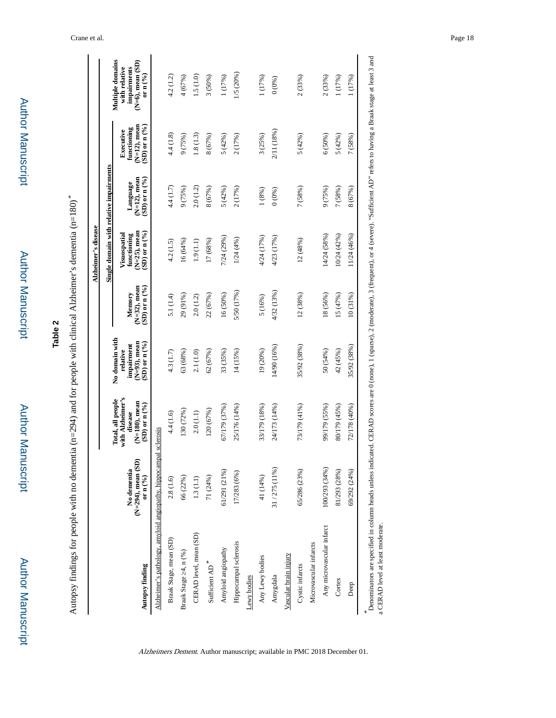| ļ      |
|--------|
|        |
| ļ      |
|        |
|        |
| ì      |
|        |
|        |
|        |
|        |
| i<br>ï |
|        |
|        |
|        |
|        |
|        |
|        |

Author Manuscript

**Author Manuscript** 

Author Manuscript Author Manuscript

# **Table 2**

Autopsy findings for people with no dementia (n=294) and for people with clinical Alzheimer's dementia (n=180) \*

|                                                                                                                                                                                                                                                  |                                                 |                                                                                                      |                                                                                  |                                                | Alzheimer's disease                                                            |                                                             |                                                                        |                                                                                                  |
|--------------------------------------------------------------------------------------------------------------------------------------------------------------------------------------------------------------------------------------------------|-------------------------------------------------|------------------------------------------------------------------------------------------------------|----------------------------------------------------------------------------------|------------------------------------------------|--------------------------------------------------------------------------------|-------------------------------------------------------------|------------------------------------------------------------------------|--------------------------------------------------------------------------------------------------|
|                                                                                                                                                                                                                                                  |                                                 |                                                                                                      |                                                                                  |                                                | Single domain with relative impairments                                        |                                                             |                                                                        |                                                                                                  |
| Autopsy finding                                                                                                                                                                                                                                  | (N=294), mean (SD)<br>No dementia<br>or n $(%)$ | with Alzheimer's<br>Total, all people<br>$(N=180)$ , mean<br>$(SD)$ or $n$ $\binom{9}{0}$<br>disease | No domain with<br>$(N=93)$ , mean<br>$(SD)$ or n $(%)$<br>impairment<br>relative | $(N=32)$ , mean<br>$SD)$ or n $(\%)$<br>Memory | $SD$ ) or $n$ $\binom{9}{0}$<br>$(N=25)$ , mean<br>Visuospatial<br>functioning | $(N=12)$ , mean<br>$SD$ ) or $n$ $\binom{9}{0}$<br>Language | $(SD)$ or n $(^{9}/_0)$<br>$(N=12)$ , mean<br>functioning<br>Executive | <b>Multiple domains</b><br>$(N=6)$ , mean $(SD)$<br>impairments<br>with relative<br>or n $(°_0)$ |
| Alzheimer's pathology, amyloid angiopathy, hippocampal sclerosis                                                                                                                                                                                 |                                                 |                                                                                                      |                                                                                  |                                                |                                                                                |                                                             |                                                                        |                                                                                                  |
| Braak Stage, mean (SD)                                                                                                                                                                                                                           | 2.8(1.6)                                        | 4.4 (1.6)                                                                                            | 4.3 (1.7)                                                                        | 5.1 (1.4)                                      | 4.2(1.5)                                                                       | 4.4 (1.7)                                                   | 4.4(1.8)                                                               | 4.2 (1.2)                                                                                        |
| Braak Stage 4, n (%)                                                                                                                                                                                                                             | 66 (22%)                                        | 130 (72%)                                                                                            | 63 (68%)                                                                         | 29 (91%)                                       | 16 (64%)                                                                       | 9(75%)                                                      | 9(75%)                                                                 | 4(67%)                                                                                           |
| CERAD level, mean (SD)                                                                                                                                                                                                                           | 1.3(1.1)                                        | 2.0(1.1)                                                                                             | 2.1(1.0)                                                                         | 2.0(1.2)                                       | 1.9(1.1)                                                                       | 2.0(1.2)                                                    | 1.8(1.3)                                                               | 1.5(1.0)                                                                                         |
| Sufficient AD <sup>*</sup>                                                                                                                                                                                                                       | 71 (24%)                                        | 120 (67%)                                                                                            | 62(67%)                                                                          | 22 (67%)                                       | 17 (68%)                                                                       | 8(67%)                                                      | 8(67%)                                                                 | 3(50%)                                                                                           |
| Amyloid angiopathy                                                                                                                                                                                                                               | 61/291 (21%)                                    | 67/179 (37%)                                                                                         | 33 (35%)                                                                         | 16 (50%)                                       | 7/24 (29%                                                                      | 5(42%)                                                      | 5(42%)                                                                 | 1 (17%)                                                                                          |
| Hippocampal sclerosis                                                                                                                                                                                                                            | 17/283 (6%)                                     | 25/176 (14%)                                                                                         | 14 (15%)                                                                         | 5/50 (17%                                      | 1/24(4%)                                                                       | 2(17%)                                                      | 2(17%)                                                                 | 1/5 (20%                                                                                         |
| Lewy bodies                                                                                                                                                                                                                                      |                                                 |                                                                                                      |                                                                                  |                                                |                                                                                |                                                             |                                                                        |                                                                                                  |
| Any Lewy bodies                                                                                                                                                                                                                                  | 41 (14%)                                        | 33/179 (18%)                                                                                         | 19 (20%)                                                                         | 5 (16%)                                        | 4/24 (17%)                                                                     | 1(8%)                                                       | 3(25%)                                                                 | 1 (17%)                                                                                          |
| Amygdala                                                                                                                                                                                                                                         | 31/275 (11%)                                    | 24/173 (14%)                                                                                         | 14/90 (16%                                                                       | 4/32 (13%)                                     | 4/23 (17%)                                                                     | (0.00)                                                      | 2/11 (18%)                                                             | (0.00)                                                                                           |
| Vascular brain injury                                                                                                                                                                                                                            |                                                 |                                                                                                      |                                                                                  |                                                |                                                                                |                                                             |                                                                        |                                                                                                  |
| Cystic infarcts                                                                                                                                                                                                                                  | 65/286 (23%)                                    | 73/179 (41%)                                                                                         | 35/92 (38%                                                                       | 12 (38%)                                       | 12 (48%)                                                                       | 7 (58%)                                                     | 5(42%)                                                                 | 2(33%)                                                                                           |
| Microvascular infarcts                                                                                                                                                                                                                           |                                                 |                                                                                                      |                                                                                  |                                                |                                                                                |                                                             |                                                                        |                                                                                                  |
| Any microvascular infarct                                                                                                                                                                                                                        | 100/293 (34%)                                   | 99/179 (55%)                                                                                         | 50 (54%)                                                                         | 18 (56%)                                       | 14/24 (58%)                                                                    | 9(75%)                                                      | 6(50%)                                                                 | 2(33%)                                                                                           |
| Cortex                                                                                                                                                                                                                                           | 81/293 (28%)                                    | 80/179 (45%)                                                                                         | 42 (45%)                                                                         | 15(47%                                         | 10/24 (42%)                                                                    | 7 (58%)                                                     | 5(42%)                                                                 | 1 (17%)                                                                                          |
| Deep                                                                                                                                                                                                                                             | 69/292 (24%)                                    | 72/178 (40%)                                                                                         | 35/92 (38%                                                                       | 10(31%)                                        | 11/24 (46%)                                                                    | 8(67%)                                                      | 7 (58%)                                                                | 1 (17%)                                                                                          |
| Denominators are specified in column heads unless indicated. CERAD scores are 0 (none), 1 (sparse), 2 (moderate), 3 (frequent), or 4 (severe). "Sufficient AD" refers to having a Braak stage at least 3 and<br>a CERAD level at least moderate. |                                                 |                                                                                                      |                                                                                  |                                                |                                                                                |                                                             |                                                                        |                                                                                                  |

Alzheimers Dement. Author manuscript; available in PMC 2018 December 01.

Alzheimer's disease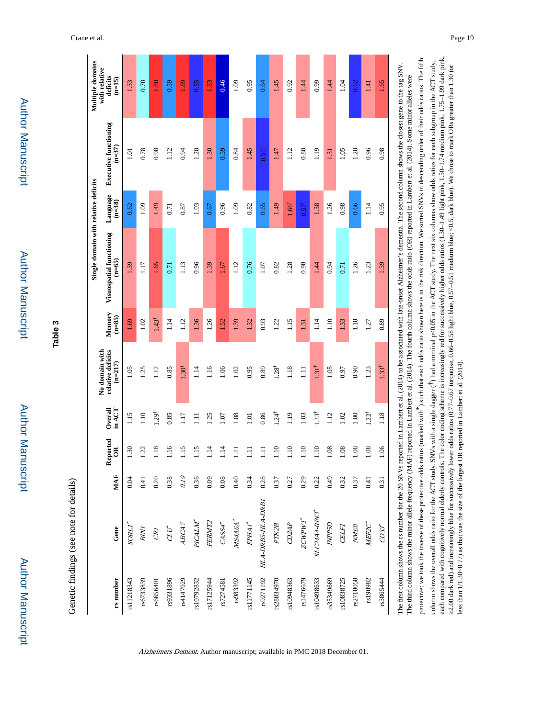Author ManuscriptAuthor Manuscript

Author Manuscript

Author Manuscript

Genetic findings (see note for details)

Genetic findings (see note for details)

**Table 3**

Author Manuscript Author Manuscript

|            |                                                                                                                                                                                                        |      |                         |                   |                                                  |                    | Single domain with relative deficits |                      |                                          | Multiple domains                      |
|------------|--------------------------------------------------------------------------------------------------------------------------------------------------------------------------------------------------------|------|-------------------------|-------------------|--------------------------------------------------|--------------------|--------------------------------------|----------------------|------------------------------------------|---------------------------------------|
| rs number  | Gene                                                                                                                                                                                                   | MAF  | Reported<br>$\tilde{e}$ | Overall<br>in ACT | No domain with<br>relative deficits<br>$(n=217)$ | Memory<br>$(n=85)$ | Visuospatial functioning<br>$(n=65)$ | Language<br>$(n=38)$ | <b>Executive functioning</b><br>$(n=37)$ | with relative<br>deficits<br>$(n=15)$ |
| rs11218343 | $SORLI^*$                                                                                                                                                                                              | 0.04 | 1.30                    | 115               | 1.05                                             | 1.69               | 1.39                                 | 0.62                 | 1.01                                     | 1.33                                  |
| rs6733839  | ${\cal B}N{\cal I}$                                                                                                                                                                                    | 0.41 | 1.22                    | 1.10              | 1.25                                             | 1.02               | 117                                  | 0.1                  | 0.78                                     | 0.70                                  |
| rs6656401  | CR <sub>I</sub>                                                                                                                                                                                        | 0.20 | 1.18                    | $1.29^{\dagger}$  | 1.12                                             | $1.43^{\dagger}$   | 1.65                                 | 1.49                 | 0.98                                     | 1.80                                  |
| rs9331896  | $\sigma$                                                                                                                                                                                               | 0.38 | 1.16                    | 0.85              | 0.85                                             | 1.14               | 0.71                                 | 0.71                 | 1.12                                     | 0.59                                  |
| rs4147929  | ABCA7                                                                                                                                                                                                  | 0.19 | 1.15                    | LT.               | $1.30^{\dagger}$                                 | 112                | 1.13                                 | 0.87                 | 0.94                                     | 1.89                                  |
| rs10792832 | PICALM                                                                                                                                                                                                 | 0.36 | 1.15                    | $\Xi$             | $\frac{14}{1}$                                   | 1.36               | 0.96                                 | 1.03                 | 1.20                                     | 0.55                                  |
| rs17125944 | <b>FERMT2</b>                                                                                                                                                                                          | 0.09 | 1.14                    | 1.25              | 1.16                                             | 1.26               | 1.39                                 | 0.67                 | 1.30                                     | 1.83                                  |
| rs7274581  | CASS4                                                                                                                                                                                                  | 0.08 | 1.14                    | 1.07              | 0.1                                              | 1.52               | 1.67                                 | 0.96                 | 0.59                                     | 0.46                                  |
| rs983392   | $MS4A6A^*$                                                                                                                                                                                             | 0.40 | $\Xi$                   | 1.08              | 1.02                                             | 1.39               | 112                                  | 0.109                | 0.84                                     | 0.1                                   |
| rs11771145 | $EPHAI^*$                                                                                                                                                                                              | 0.34 | $\Xi$                   | 1.01              | 0.95                                             | 1.32               | 0.76                                 | 0.82                 | 1.45                                     | 0.95                                  |
| rs9271192  | HLA-DRB5-HLA-DRB1                                                                                                                                                                                      | 0.28 | $\Xi$                   | 0.86              | 0.89                                             | 0.93               | 1.07                                 | 0.65                 | $0.55^{\dagger}$                         | 0.64                                  |
| rs28834970 | PTK2B                                                                                                                                                                                                  | 0.37 | 1.10                    | $1.24^{\dagger}$  | $1.28^{\dagger}$                                 | 1.22               | 0.82                                 | 1.49                 | 1.47                                     | 1.45                                  |
| rs10948363 | CD2AP                                                                                                                                                                                                  | 0.27 | 1.10                    | 1.19              | 1.18                                             | 1.15               | 1.28                                 | $1.66^{\dagger}$     | 112                                      | 0.92                                  |
| rs1476679  | $ZCWPWI^*$                                                                                                                                                                                             | 0.29 | 1.10                    | 1.03              | $\Xi$                                            | 1.31               | 0.98                                 | $0.57^{\dagger}$     | 0.80                                     | 1.44                                  |
| rs10498633 | <b>SLC24A4-RIN3</b>                                                                                                                                                                                    | 0.22 | 1.10                    | $.23^{\dagger}$   | $1.31^{\dagger}$                                 | 1.14               | 1.44                                 | 1.38                 | 1.19                                     | 0.99                                  |
| rs35349669 | <b>USddVI</b>                                                                                                                                                                                          | 64.0 | 1.08                    | 112               | 1.05                                             | 1.10               | 0.94                                 | 1.26                 | 1.31                                     | 1.44                                  |
| rs10838725 | ${\cal C}\!{\cal E}\!{\cal L}\!{\cal F}\!{\cal I}$                                                                                                                                                     | 0.32 | 1.08                    | 1.02              | 0.97                                             | 1.33               | 0.71                                 | 0.98                 | 1.05                                     | 1.04                                  |
| rs2718058  | $\ensuremath{\mathit{NME8}}$                                                                                                                                                                           | 0.37 | 1.08                    | 00.1              | 0.90                                             | 1.18               | 1.26                                 | 0.66                 | 1.20                                     | 0.62                                  |
| rs190982   | <b>MEF2C</b> *                                                                                                                                                                                         | 0.41 | 1.08                    | $1.22^{\dagger}$  | 1.23                                             | 1.27               | 1.23                                 | 1.14                 | 0.96                                     | 1.41                                  |
| rs3865444  | $CD33^*$                                                                                                                                                                                               | 0.31 | 1.06                    | 1.18              | $1.33^{\dagger}$                                 | 0.89               | 1.39                                 | 0.95                 | 0.98                                     | 1.65                                  |
|            | The first column shows the rs number for the 20 SNVs reported in Lambert et al. (2014) to be associated with late-onset Alzheimer's dementia. The second column shows the closest gene to the tag SNV. |      |                         |                   |                                                  |                    |                                      |                      |                                          |                                       |

Alzheimers Dement. Author manuscript; available in PMC 2018 December 01.

The third column shows the minor allele frequency (MAF) reported in Lambert et al. (2014). The fourth column shows the odds ratio (OR) reported in Lambert et al. (2014). Some minor alleles were

The third column shows the minor allele frequency (MAF) reported in Lambert et al. (2014). The fourth column shows the odds ratio (OR) reported in Lambert et al. (2014). Some minor alleles were

protective; we took the inverse of these protective odds ratios (marked with \*) such that each odds ratio shown here is in the risk direction. We sorted SNVs in descending order of their odds ratios. The fifth

\*) such that each odds ratio shown here is in the risk direction. We sorted SNVs in descending order of their odds ratios. The fifth

 $\uparrow$  had a nominal p<0.05 in the ACT study. The next six columns show odds ratios for each subgroup in the ACT study,

each compared with cognitively normal elderly controls. The color coding scheme is increasingly red for successively higher odds ratios (1.30–1.49 light pink, 1.50–1.74 medium pink, 1.75–1.99 dark pink, ≥2.00 dark red) and increasingly blue for successively lower odds ratios (0.77–0.67 turquoise, 0.66–0.58 light blue, 0.57–0.51 medium blue; <0.5, dark blue). We chose to mark ORs greater than 1.30 (or

2.00 dark red) and increasingly blue for successively lower odds ratios (0.77-0.67 urquoise, 0.66-0.58 light blue, 0.57-0.51 medium blue; <0.5, dark blue). We chose to mark ORs greater than 1.30 (or

each compared with cognitively normal elderly controls. The color coding scheme is increasingly red for successively higher odds ratios (1.30-1.49 light pink, 1.50-1.74 medium pink, 1.75-1.99 dark pink, column shows the overall odds ratio for the ACT study. SNVs with a single dagger  $(\dagger)$  had a nominal p<0.05 in the ACT study. The next six columns show odds ratios for each subgroup in the ACT study,

protective; we took the inverse of these protective odds ratios (marked with

column shows the overall odds ratio for the ACT study. SNVs with a single dagger (

less than 1/1.30~0.77) as that was the size of the largest OR reported in Lambert et al. (2014).

less than 1/1.30~0.77) as that was the size of the largest OR reported in Lambert et al. (2014).